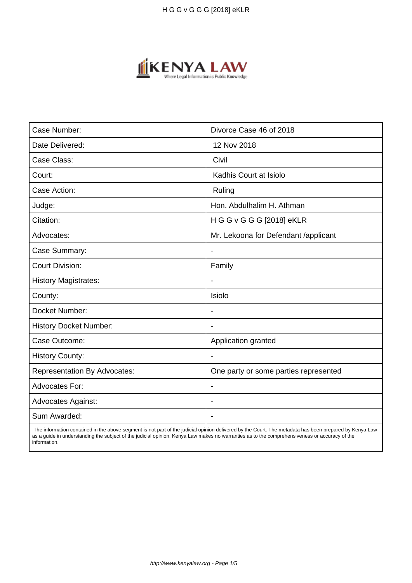

| Case Number:                        | Divorce Case 46 of 2018               |
|-------------------------------------|---------------------------------------|
| Date Delivered:                     | 12 Nov 2018                           |
| Case Class:                         | Civil                                 |
| Court:                              | Kadhis Court at Isiolo                |
| Case Action:                        | Ruling                                |
| Judge:                              | Hon. Abdulhalim H. Athman             |
| Citation:                           | H G G v G G G [2018] eKLR             |
| Advocates:                          | Mr. Lekoona for Defendant /applicant  |
| Case Summary:                       | $\overline{\phantom{a}}$              |
| <b>Court Division:</b>              | Family                                |
| <b>History Magistrates:</b>         | $\blacksquare$                        |
| County:                             | Isiolo                                |
| Docket Number:                      |                                       |
| <b>History Docket Number:</b>       |                                       |
| Case Outcome:                       | Application granted                   |
| <b>History County:</b>              | $\blacksquare$                        |
| <b>Representation By Advocates:</b> | One party or some parties represented |
| Advocates For:                      |                                       |
| <b>Advocates Against:</b>           |                                       |
| Sum Awarded:                        |                                       |

 The information contained in the above segment is not part of the judicial opinion delivered by the Court. The metadata has been prepared by Kenya Law as a guide in understanding the subject of the judicial opinion. Kenya Law makes no warranties as to the comprehensiveness or accuracy of the information.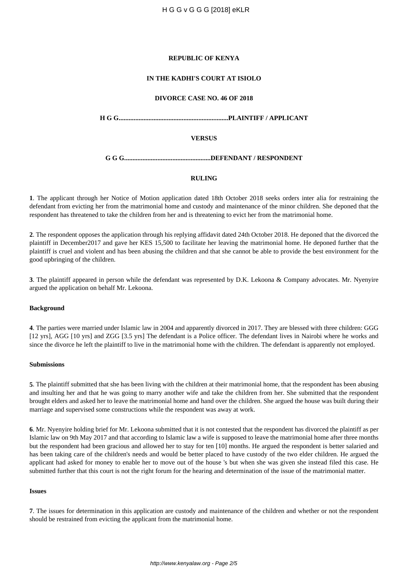## **REPUBLIC OF KENYA**

# **IN THE KADHI'S COURT AT ISIOLO**

### **DIVORCE CASE NO. 46 OF 2018**

**H G G..................................................................PLAINTIFF / APPLICANT**

# **VERSUS**

**G G G....................................................DEFENDANT / RESPONDENT**

# **RULING**

**1**. The applicant through her Notice of Motion application dated 18th October 2018 seeks orders inter alia for restraining the defendant from evicting her from the matrimonial home and custody and maintenance of the minor children. She deponed that the respondent has threatened to take the children from her and is threatening to evict her from the matrimonial home.

**2**. The respondent opposes the application through his replying affidavit dated 24th October 2018. He deponed that the divorced the plaintiff in December2017 and gave her KES 15,500 to facilitate her leaving the matrimonial home. He deponed further that the plaintiff is cruel and violent and has been abusing the children and that she cannot be able to provide the best environment for the good upbringing of the children.

**3**. The plaintiff appeared in person while the defendant was represented by D.K. Lekoona & Company advocates. Mr. Nyenyire argued the application on behalf Mr. Lekoona.

#### **Background**

**4**. The parties were married under Islamic law in 2004 and apparently divorced in 2017. They are blessed with three children: GGG [12 yrs], AGG [10 yrs] and ZGG [3.5 yrs] The defendant is a Police officer. The defendant lives in Nairobi where he works and since the divorce he left the plaintiff to live in the matrimonial home with the children. The defendant is apparently not employed.

#### **Submissions**

**5**. The plaintiff submitted that she has been living with the children at their matrimonial home, that the respondent has been abusing and insulting her and that he was going to marry another wife and take the children from her. She submitted that the respondent brought elders and asked her to leave the matrimonial home and hand over the children. She argued the house was built during their marriage and supervised some constructions while the respondent was away at work.

**6**. Mr. Nyenyire holding brief for Mr. Lekoona submitted that it is not contested that the respondent has divorced the plaintiff as per Islamic law on 9th May 2017 and that according to Islamic law a wife is supposed to leave the matrimonial home after three months but the respondent had been gracious and allowed her to stay for ten [10] months. He argued the respondent is better salaried and has been taking care of the children's needs and would be better placed to have custody of the two elder children. He argued the applicant had asked for money to enable her to move out of the house 's but when she was given she instead filed this case. He submitted further that this court is not the right forum for the hearing and determination of the issue of the matrimonial matter.

#### **Issues**

**7**. The issues for determination in this application are custody and maintenance of the children and whether or not the respondent should be restrained from evicting the applicant from the matrimonial home.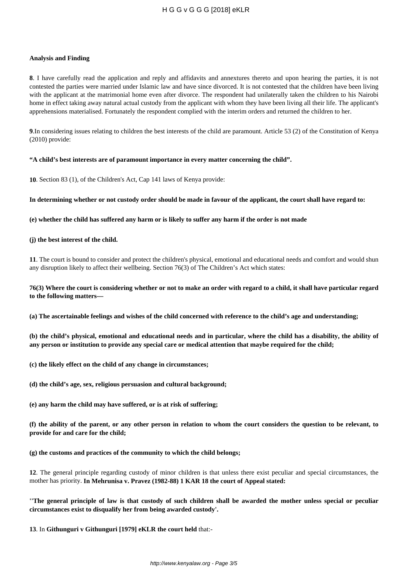# H G G v G G G [2018] eKLR

#### **Analysis and Finding**

**8**. I have carefully read the application and reply and affidavits and annextures thereto and upon hearing the parties, it is not contested the parties were married under Islamic law and have since divorced. It is not contested that the children have been living with the applicant at the matrimonial home even after divorce. The respondent had unilaterally taken the children to his Nairobi home in effect taking away natural actual custody from the applicant with whom they have been living all their life. The applicant's apprehensions materialised. Fortunately the respondent complied with the interim orders and returned the children to her.

**9**.In considering issues relating to children the best interests of the child are paramount. Article 53 (2) of the Constitution of Kenya (2010) provide:

### **"A child's best interests are of paramount importance in every matter concerning the child".**

**10**. Section 83 (1), of the Children's Act, Cap 141 laws of Kenya provide:

**In determining whether or not custody order should be made in favour of the applicant, the court shall have regard to:**

**(e) whether the child has suffered any harm or is likely to suffer any harm if the order is not made**

### **(j) the best interest of the child.**

**11**. The court is bound to consider and protect the children's physical, emotional and educational needs and comfort and would shun any disruption likely to affect their wellbeing. Section 76(3) of The Children's Act which states:

# **76(3) Where the court is considering whether or not to make an order with regard to a child, it shall have particular regard to the following matters—**

**(a) The ascertainable feelings and wishes of the child concerned with reference to the child's age and understanding;**

**(b) the child's physical, emotional and educational needs and in particular, where the child has a disability, the ability of any person or institution to provide any special care or medical attention that maybe required for the child;**

- **(c) the likely effect on the child of any change in circumstances;**
- **(d) the child's age, sex, religious persuasion and cultural background;**
- **(e) any harm the child may have suffered, or is at risk of suffering;**

**(f) the ability of the parent, or any other person in relation to whom the court considers the question to be relevant, to provide for and care for the child;**

**(g) the customs and practices of the community to which the child belongs;**

**12**. The general principle regarding custody of minor children is that unless there exist peculiar and special circumstances, the mother has priority. **In Mehrunisa v. Pravez (1982-88) 1 KAR 18 the court of Appeal stated:** 

**''The general principle of law is that custody of such children shall be awarded the mother unless special or peculiar circumstances exist to disqualify her from being awarded custody'.** 

**13**. In **Githunguri v Githunguri [1979] eKLR the court held** that:-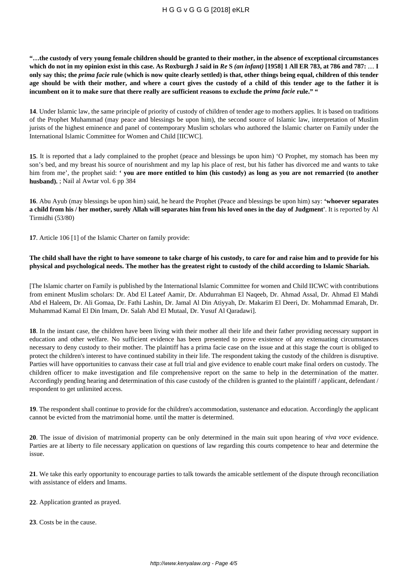**"…the custody of very young female children should be granted to their mother, in the absence of exceptional circumstances which do not in my opinion exist in this case. As Roxburgh J said in** *Re* **S** *(an infant)* **[1958] 1 All ER 783, at 786 and 787:** .... **I only say this; the** *prima facie* **rule (which is now quite clearly settled) is that, other things being equal, children of this tender age should be with their mother, and where a court gives the custody of a child of this tender age to the father it is incumbent on it to make sure that there really are sufficient reasons to exclude the** *prima facie* **rule." "**

**14**. Under Islamic law, the same principle of priority of custody of children of tender age to mothers applies. It is based on traditions of the Prophet Muhammad (may peace and blessings be upon him), the second source of Islamic law, interpretation of Muslim jurists of the highest eminence and panel of contemporary Muslim scholars who authored the Islamic charter on Family under the International Islamic Committee for Women and Child [IICWC].

**15**. It is reported that a lady complained to the prophet (peace and blessings be upon him) 'O Prophet, my stomach has been my son's bed, and my breast his source of nourishment and my lap his place of rest, but his father has divorced me and wants to take him from me', the prophet said: **' you are more entitled to him (his custody) as long as you are not remarried (to another husband).** ; Nail al Awtar vol. 6 pp 384

**16**. Abu Ayub (may blessings be upon him) said, he heard the Prophet (Peace and blessings be upon him) say: **'whoever separates a child from his / her mother, surely Allah will separates him from his loved ones in the day of Judgment'**. It is reported by Al Tirmidhi (53/80)

**17**. Article 106 [1] of the Islamic Charter on family provide:

# **The child shall have the right to have someone to take charge of his custody, to care for and raise him and to provide for his physical and psychological needs. The mother has the greatest right to custody of the child according to Islamic Shariah.**

[The Islamic charter on Family is published by the International Islamic Committee for women and Child IICWC with contributions from eminent Muslim scholars: Dr. Abd El Lateef Aamir, Dr. Abdurrahman El Naqeeb, Dr. Ahmad Assal, Dr. Ahmad El Mahdi Abd el Haleem, Dr. Ali Gomaa, Dr. Fathi Lashin, Dr. Jamal Al Din Atiyyah, Dr. Makarim El Deeri, Dr. Mohammad Emarah, Dr. Muhammad Kamal El Din Imam, Dr. Salah Abd El Mutaal, Dr. Yusuf Al Qaradawi].

**18**. In the instant case, the children have been living with their mother all their life and their father providing necessary support in education and other welfare. No sufficient evidence has been presented to prove existence of any extenuating circumstances necessary to deny custody to their mother. The plaintiff has a prima facie case on the issue and at this stage the court is obliged to protect the children's interest to have continued stability in their life. The respondent taking the custody of the children is disruptive. Parties will have opportunities to canvass their case at full trial and give evidence to enable court make final orders on custody. The children officer to make investigation and file comprehensive report on the same to help in the determination of the matter. Accordingly pending hearing and determination of this case custody of the children is granted to the plaintiff / applicant, defendant / respondent to get unlimited access.

**19**. The respondent shall continue to provide for the children's accommodation, sustenance and education. Accordingly the applicant cannot be evicted from the matrimonial home. until the matter is determined.

**20**. The issue of division of matrimonial property can be only determined in the main suit upon hearing of *viva voce* evidence. Parties are at liberty to file necessary application on questions of law regarding this courts competence to hear and determine the issue.

**21**. We take this early opportunity to encourage parties to talk towards the amicable settlement of the dispute through reconciliation with assistance of elders and Imams.

- **22**. Application granted as prayed.
- **23**. Costs be in the cause.